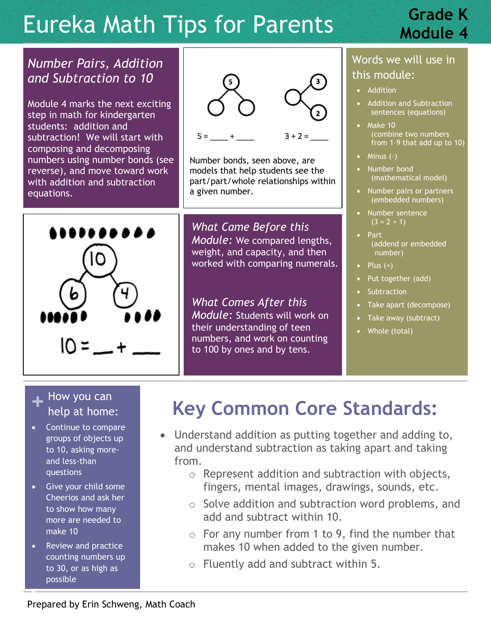# Eureka Math Tips for Parents

## **Grade K Module 4**

#### *Number Pairs, Addition and Subtraction to 10*

Module 4 marks the next exciting step in math for kindergarten students: addition and subtraction! We will start with composing and decomposing numbers using number bonds (see reverse), and move toward work with addition and subtraction equations.



Number bonds, seen above, are models that help students see the part/part/whole relationships within a given number.

*What Came Before this Module:* We compared lengths, weight, and capacity, and then worked with comparing numerals.

*What Comes After this Module:* Students will work on their understanding of teen numbers, and work on counting to 100 by ones and by tens.

#### Words we will use in this module:

- Addition
- Addition and Subtraction sentences (equations)
- Make 10 (combine two numbers from 1–9 that add up to 10)
- $\bullet$  Minus  $(-)$
- Number bond (mathematical model)
- Number pairs or partners (embedded numbers)
- Number sentence  $(3 = 2 + 1)$
- Part (addend or embedded number)
- $\bullet$  Plus  $(+)$
- Put together (add)
- **Subtraction**
- Take apart (decompose)
- Take away (subtract)
- Whole (total)

#### **+** How you can<br>
help at home help at home:

- Continue to compare groups of objects up to 10, asking moreand less-than questions
- Give your child some Cheerios and ask her to show how many more are needed to make 10
- Review and practice counting numbers up to 30, or as high as possible

J

# **Key Common Core Standards:**

- Understand addition as putting together and adding to, and understand subtraction as taking apart and taking from.
	- o Represent addition and subtraction with objects, fingers, mental images, drawings, sounds, etc.
	- o Solve addition and subtraction word problems, and add and subtract within 10.
	- $\circ$  For any number from 1 to 9, find the number that makes 10 when added to the given number.
	- o Fluently add and subtract within 5.

 $\overline{\phantom{a}}$